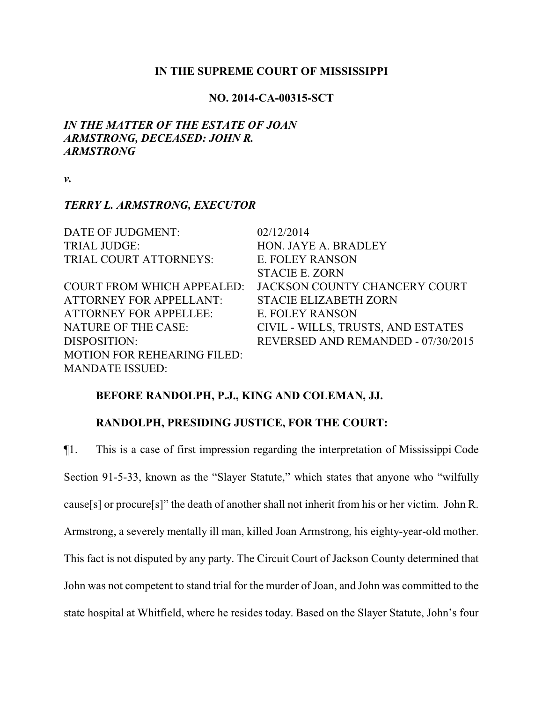#### **IN THE SUPREME COURT OF MISSISSIPPI**

### **NO. 2014-CA-00315-SCT**

## *IN THE MATTER OF THE ESTATE OF JOAN ARMSTRONG, DECEASED: JOHN R. ARMSTRONG*

*v.*

### *TERRY L. ARMSTRONG, EXECUTOR*

| DATE OF JUDGMENT:                  | 02/12/2014                         |
|------------------------------------|------------------------------------|
| <b>TRIAL JUDGE:</b>                | HON. JAYE A. BRADLEY               |
| TRIAL COURT ATTORNEYS:             | E. FOLEY RANSON                    |
|                                    | <b>STACIE E. ZORN</b>              |
| <b>COURT FROM WHICH APPEALED:</b>  | JACKSON COUNTY CHANCERY COURT      |
| <b>ATTORNEY FOR APPELLANT:</b>     | <b>STACIE ELIZABETH ZORN</b>       |
| <b>ATTORNEY FOR APPELLEE:</b>      | E. FOLEY RANSON                    |
| <b>NATURE OF THE CASE:</b>         | CIVIL - WILLS, TRUSTS, AND ESTATES |
| DISPOSITION:                       | REVERSED AND REMANDED - 07/30/2015 |
| <b>MOTION FOR REHEARING FILED:</b> |                                    |
| <b>MANDATE ISSUED:</b>             |                                    |

## **BEFORE RANDOLPH, P.J., KING AND COLEMAN, JJ.**

## **RANDOLPH, PRESIDING JUSTICE, FOR THE COURT:**

¶1. This is a case of first impression regarding the interpretation of Mississippi Code Section 91-5-33, known as the "Slayer Statute," which states that anyone who "wilfully cause[s] or procure[s]" the death of another shall not inherit from his or her victim. John R. Armstrong, a severely mentally ill man, killed Joan Armstrong, his eighty-year-old mother. This fact is not disputed by any party. The Circuit Court of Jackson County determined that John was not competent to stand trial for the murder of Joan, and John was committed to the state hospital at Whitfield, where he resides today. Based on the Slayer Statute, John's four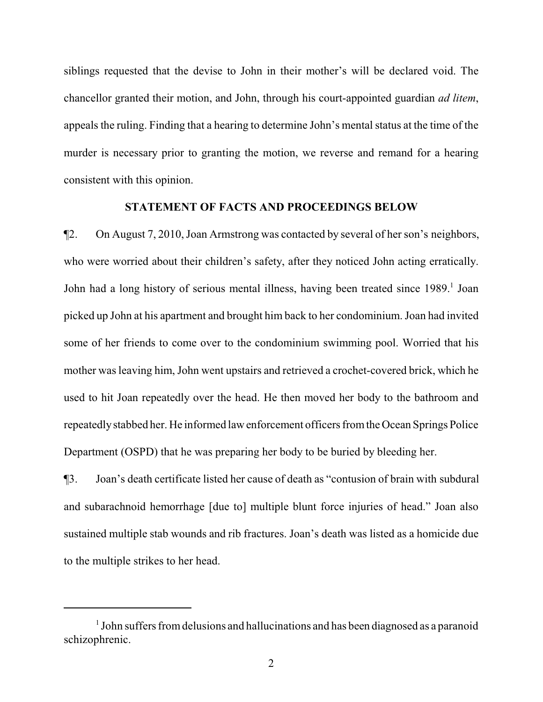siblings requested that the devise to John in their mother's will be declared void. The chancellor granted their motion, and John, through his court-appointed guardian *ad litem*, appeals the ruling. Finding that a hearing to determine John's mental status at the time of the murder is necessary prior to granting the motion, we reverse and remand for a hearing consistent with this opinion.

#### **STATEMENT OF FACTS AND PROCEEDINGS BELOW**

¶2. On August 7, 2010, Joan Armstrong was contacted by several of her son's neighbors, who were worried about their children's safety, after they noticed John acting erratically. John had a long history of serious mental illness, having been treated since 1989.<sup>1</sup> Joan picked up John at his apartment and brought him back to her condominium. Joan had invited some of her friends to come over to the condominium swimming pool. Worried that his mother was leaving him, John went upstairs and retrieved a crochet-covered brick, which he used to hit Joan repeatedly over the head. He then moved her body to the bathroom and repeatedlystabbed her. He informed lawenforcement officers fromthe Ocean Springs Police Department (OSPD) that he was preparing her body to be buried by bleeding her.

¶3. Joan's death certificate listed her cause of death as "contusion of brain with subdural and subarachnoid hemorrhage [due to] multiple blunt force injuries of head." Joan also sustained multiple stab wounds and rib fractures. Joan's death was listed as a homicide due to the multiple strikes to her head.

<sup>&</sup>lt;sup>1</sup> John suffers from delusions and hallucinations and has been diagnosed as a paranoid schizophrenic.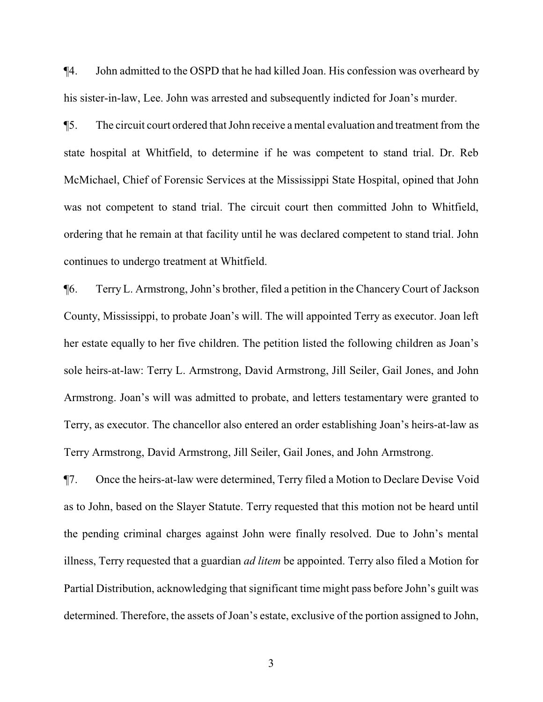¶4. John admitted to the OSPD that he had killed Joan. His confession was overheard by his sister-in-law, Lee. John was arrested and subsequently indicted for Joan's murder.

¶5. The circuit court ordered that John receive a mental evaluation and treatment from the state hospital at Whitfield, to determine if he was competent to stand trial. Dr. Reb McMichael, Chief of Forensic Services at the Mississippi State Hospital, opined that John was not competent to stand trial. The circuit court then committed John to Whitfield, ordering that he remain at that facility until he was declared competent to stand trial. John continues to undergo treatment at Whitfield.

¶6. Terry L. Armstrong, John's brother, filed a petition in the Chancery Court of Jackson County, Mississippi, to probate Joan's will. The will appointed Terry as executor. Joan left her estate equally to her five children. The petition listed the following children as Joan's sole heirs-at-law: Terry L. Armstrong, David Armstrong, Jill Seiler, Gail Jones, and John Armstrong. Joan's will was admitted to probate, and letters testamentary were granted to Terry, as executor. The chancellor also entered an order establishing Joan's heirs-at-law as Terry Armstrong, David Armstrong, Jill Seiler, Gail Jones, and John Armstrong.

¶7. Once the heirs-at-law were determined, Terry filed a Motion to Declare Devise Void as to John, based on the Slayer Statute. Terry requested that this motion not be heard until the pending criminal charges against John were finally resolved. Due to John's mental illness, Terry requested that a guardian *ad litem* be appointed. Terry also filed a Motion for Partial Distribution, acknowledging that significant time might pass before John's guilt was determined. Therefore, the assets of Joan's estate, exclusive of the portion assigned to John,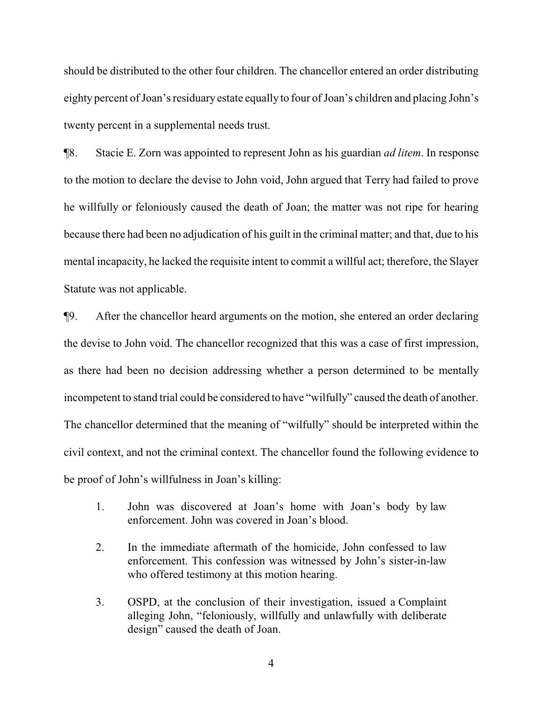should be distributed to the other four children. The chancellor entered an order distributing eighty percent of Joan's residuary estate equally to four of Joan's children and placing John's twenty percent in a supplemental needs trust.

¶8. Stacie E. Zorn was appointed to represent John as his guardian *ad litem*. In response to the motion to declare the devise to John void, John argued that Terry had failed to prove he willfully or feloniously caused the death of Joan; the matter was not ripe for hearing because there had been no adjudication of his guilt in the criminal matter; and that, due to his mental incapacity, he lacked the requisite intent to commit a willful act; therefore, the Slayer Statute was not applicable.

¶9. After the chancellor heard arguments on the motion, she entered an order declaring the devise to John void. The chancellor recognized that this was a case of first impression, as there had been no decision addressing whether a person determined to be mentally incompetent to stand trial could be considered to have "wilfully" caused the death of another. The chancellor determined that the meaning of "wilfully" should be interpreted within the civil context, and not the criminal context. The chancellor found the following evidence to be proof of John's willfulness in Joan's killing:

- 1. John was discovered at Joan's home with Joan's body by law enforcement. John was covered in Joan's blood.
- 2. In the immediate aftermath of the homicide, John confessed to law enforcement. This confession was witnessed by John's sister-in-law who offered testimony at this motion hearing.
- 3. OSPD, at the conclusion of their investigation, issued a Complaint alleging John, "feloniously, willfully and unlawfully with deliberate design" caused the death of Joan.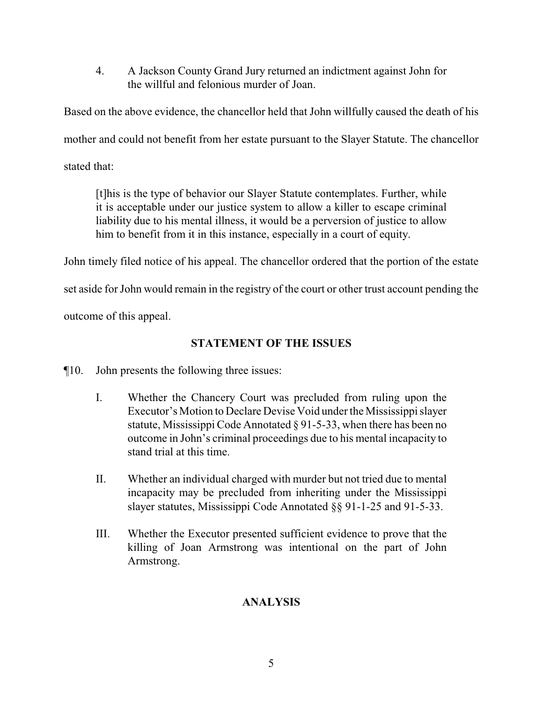4. A Jackson County Grand Jury returned an indictment against John for the willful and felonious murder of Joan.

Based on the above evidence, the chancellor held that John willfully caused the death of his mother and could not benefit from her estate pursuant to the Slayer Statute. The chancellor stated that:

[t]his is the type of behavior our Slayer Statute contemplates. Further, while it is acceptable under our justice system to allow a killer to escape criminal liability due to his mental illness, it would be a perversion of justice to allow him to benefit from it in this instance, especially in a court of equity.

John timely filed notice of his appeal. The chancellor ordered that the portion of the estate

set aside for John would remain in the registry of the court or other trust account pending the

outcome of this appeal.

# **STATEMENT OF THE ISSUES**

¶10. John presents the following three issues:

- I. Whether the Chancery Court was precluded from ruling upon the Executor's Motion to Declare Devise Void under the Mississippi slayer statute, Mississippi Code Annotated § 91-5-33, when there has been no outcome in John's criminal proceedings due to his mental incapacity to stand trial at this time.
- II. Whether an individual charged with murder but not tried due to mental incapacity may be precluded from inheriting under the Mississippi slayer statutes, Mississippi Code Annotated §§ 91-1-25 and 91-5-33.
- III. Whether the Executor presented sufficient evidence to prove that the killing of Joan Armstrong was intentional on the part of John Armstrong.

# **ANALYSIS**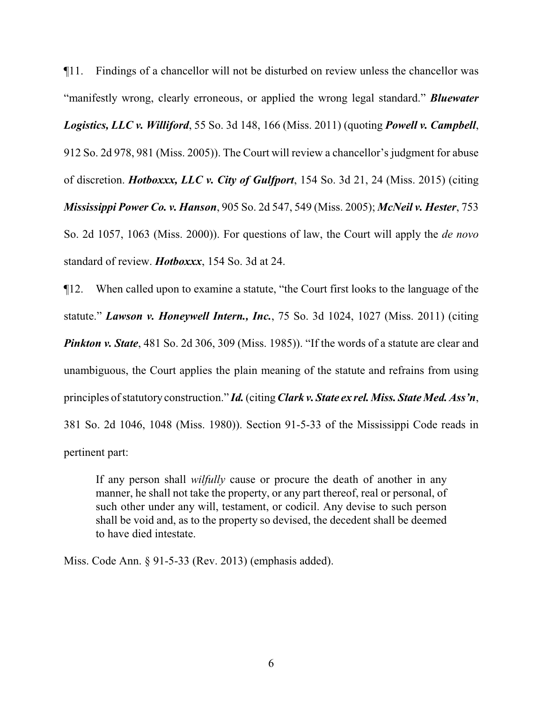¶11. Findings of a chancellor will not be disturbed on review unless the chancellor was "manifestly wrong, clearly erroneous, or applied the wrong legal standard." *Bluewater Logistics, LLC v. Williford*, 55 So. 3d 148, 166 (Miss. 2011) (quoting *Powell v. Campbell*, 912 So. 2d 978, 981 (Miss. 2005)). The Court will review a chancellor's judgment for abuse of discretion. *Hotboxxx, LLC v. City of Gulfport*, 154 So. 3d 21, 24 (Miss. 2015) (citing *Mississippi Power Co. v. Hanson*, 905 So. 2d 547, 549 (Miss. 2005); *McNeil v. Hester*, 753 So. 2d 1057, 1063 (Miss. 2000)). For questions of law, the Court will apply the *de novo* standard of review. *Hotboxxx*, 154 So. 3d at 24.

¶12. When called upon to examine a statute, "the Court first looks to the language of the statute." *Lawson v. Honeywell Intern., Inc.*, 75 So. 3d 1024, 1027 (Miss. 2011) (citing *Pinkton v. State*, 481 So. 2d 306, 309 (Miss. 1985)). "If the words of a statute are clear and unambiguous, the Court applies the plain meaning of the statute and refrains from using principles of statutory construction." *Id.* (citing *Clark v. State ex rel. Miss. State Med. Ass'n,* 381 So. 2d 1046, 1048 (Miss. 1980)). Section 91-5-33 of the Mississippi Code reads in pertinent part:

If any person shall *wilfully* cause or procure the death of another in any manner, he shall not take the property, or any part thereof, real or personal, of such other under any will, testament, or codicil. Any devise to such person shall be void and, as to the property so devised, the decedent shall be deemed to have died intestate.

Miss. Code Ann. § 91-5-33 (Rev. 2013) (emphasis added).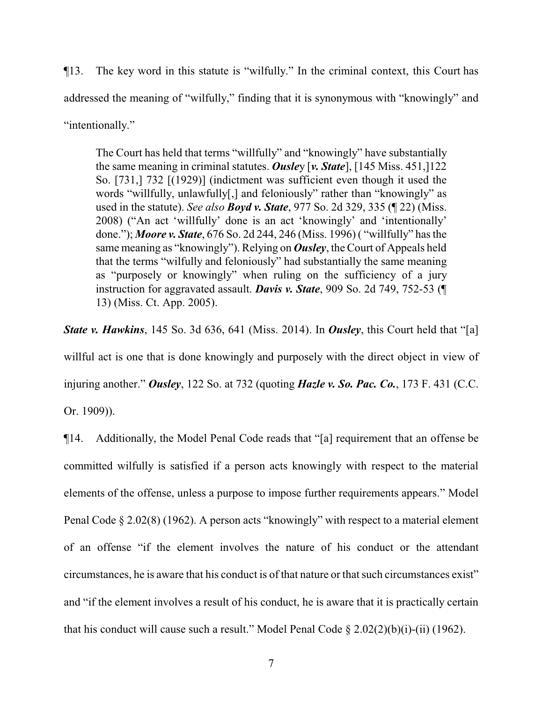¶13. The key word in this statute is "wilfully." In the criminal context, this Court has addressed the meaning of "wilfully," finding that it is synonymous with "knowingly" and "intentionally."

The Court has held that terms "willfully" and "knowingly" have substantially the same meaning in criminal statutes. *Ousle*y [*v. State*], [145 Miss. 451,]122 So. [731,] 732 [(1929)] (indictment was sufficient even though it used the words "willfully, unlawfully[,] and feloniously" rather than "knowingly" as used in the statute). *See also Boyd v. State*, 977 So. 2d 329, 335 (¶ 22) (Miss. 2008) ("An act 'willfully' done is an act 'knowingly' and 'intentionally' done."); *Moore v. State*, 676 So. 2d 244, 246 (Miss. 1996) ( "willfully" has the same meaning as "knowingly"). Relying on *Ousley*, the Court of Appeals held that the terms "wilfully and feloniously" had substantially the same meaning as "purposely or knowingly" when ruling on the sufficiency of a jury instruction for aggravated assault. *Davis v. State*, 909 So. 2d 749, 752-53 (¶ 13) (Miss. Ct. App. 2005).

*State v. Hawkins*, 145 So. 3d 636, 641 (Miss. 2014). In *Ousley*, this Court held that "[a] willful act is one that is done knowingly and purposely with the direct object in view of injuring another." *Ousley*, 122 So. at 732 (quoting *Hazle v. So. Pac. Co.*, 173 F. 431 (C.C. Or. 1909)).

¶14. Additionally, the Model Penal Code reads that "[a] requirement that an offense be committed wilfully is satisfied if a person acts knowingly with respect to the material elements of the offense, unless a purpose to impose further requirements appears." Model Penal Code § 2.02(8) (1962). A person acts "knowingly" with respect to a material element of an offense "if the element involves the nature of his conduct or the attendant circumstances, he is aware that his conduct is of that nature or that such circumstances exist" and "if the element involves a result of his conduct, he is aware that it is practically certain that his conduct will cause such a result." Model Penal Code  $\S 2.02(2)(b)(i)$ -(ii) (1962).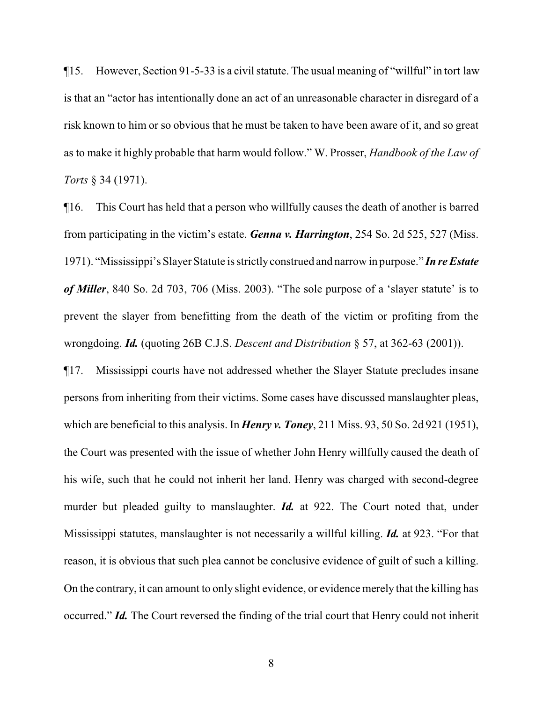¶15. However, Section 91-5-33 is a civil statute. The usual meaning of "willful" in tort law is that an "actor has intentionally done an act of an unreasonable character in disregard of a risk known to him or so obvious that he must be taken to have been aware of it, and so great as to make it highly probable that harm would follow." W. Prosser, *Handbook of the Law of Torts* § 34 (1971).

¶16. This Court has held that a person who willfully causes the death of another is barred from participating in the victim's estate. *Genna v. Harrington*, 254 So. 2d 525, 527 (Miss. 1971). "Mississippi's Slayer Statute is strictlyconstrued and narrow in purpose." *In re Estate of Miller*, 840 So. 2d 703, 706 (Miss. 2003). "The sole purpose of a 'slayer statute' is to prevent the slayer from benefitting from the death of the victim or profiting from the wrongdoing. *Id.* (quoting 26B C.J.S. *Descent and Distribution* § 57, at 362-63 (2001)).

¶17. Mississippi courts have not addressed whether the Slayer Statute precludes insane persons from inheriting from their victims. Some cases have discussed manslaughter pleas, which are beneficial to this analysis. In *Henry v. Toney*, 211 Miss. 93, 50 So. 2d 921 (1951), the Court was presented with the issue of whether John Henry willfully caused the death of his wife, such that he could not inherit her land. Henry was charged with second-degree murder but pleaded guilty to manslaughter. *Id.* at 922. The Court noted that, under Mississippi statutes, manslaughter is not necessarily a willful killing. *Id.* at 923. "For that reason, it is obvious that such plea cannot be conclusive evidence of guilt of such a killing. On the contrary, it can amount to only slight evidence, or evidence merely that the killing has occurred." *Id.* The Court reversed the finding of the trial court that Henry could not inherit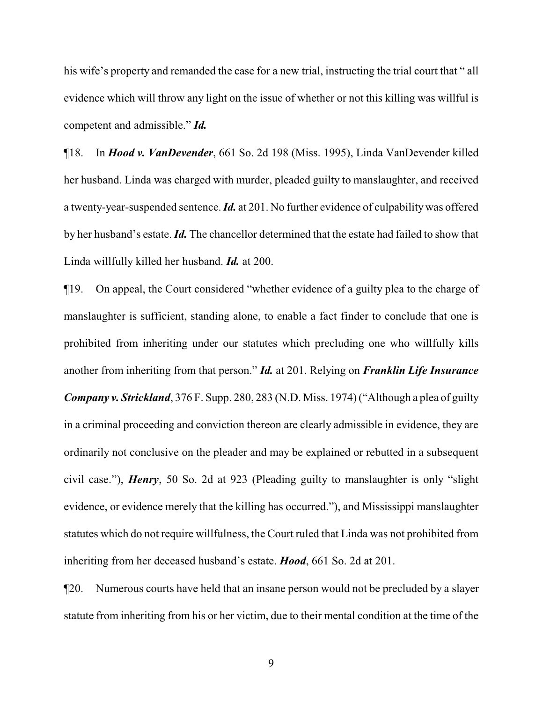his wife's property and remanded the case for a new trial, instructing the trial court that " all evidence which will throw any light on the issue of whether or not this killing was willful is competent and admissible." *Id.*

¶18. In *Hood v. VanDevender*, 661 So. 2d 198 (Miss. 1995), Linda VanDevender killed her husband. Linda was charged with murder, pleaded guilty to manslaughter, and received a twenty-year-suspended sentence. *Id.* at 201. No further evidence of culpabilitywas offered by her husband's estate. *Id.* The chancellor determined that the estate had failed to show that Linda willfully killed her husband. *Id.* at 200.

¶19. On appeal, the Court considered "whether evidence of a guilty plea to the charge of manslaughter is sufficient, standing alone, to enable a fact finder to conclude that one is prohibited from inheriting under our statutes which precluding one who willfully kills another from inheriting from that person." *Id.* at 201. Relying on *Franklin Life Insurance Company v. Strickland*, 376 F. Supp. 280, 283 (N.D. Miss. 1974) ("Although a plea of guilty in a criminal proceeding and conviction thereon are clearly admissible in evidence, they are ordinarily not conclusive on the pleader and may be explained or rebutted in a subsequent civil case."), *Henry*, 50 So. 2d at 923 (Pleading guilty to manslaughter is only "slight evidence, or evidence merely that the killing has occurred."), and Mississippi manslaughter statutes which do not require willfulness, the Court ruled that Linda was not prohibited from inheriting from her deceased husband's estate. *Hood*, 661 So. 2d at 201.

¶20. Numerous courts have held that an insane person would not be precluded by a slayer statute from inheriting from his or her victim, due to their mental condition at the time of the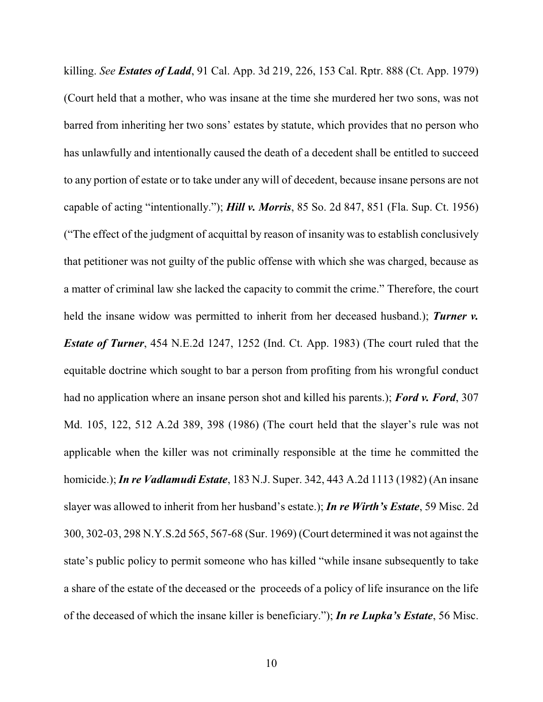killing. *See Estates of Ladd*, 91 Cal. App. 3d 219, 226, 153 Cal. Rptr. 888 (Ct. App. 1979) (Court held that a mother, who was insane at the time she murdered her two sons, was not barred from inheriting her two sons' estates by statute, which provides that no person who has unlawfully and intentionally caused the death of a decedent shall be entitled to succeed to any portion of estate or to take under any will of decedent, because insane persons are not capable of acting "intentionally."); *Hill v. Morris*, 85 So. 2d 847, 851 (Fla. Sup. Ct. 1956) ("The effect of the judgment of acquittal by reason of insanity was to establish conclusively that petitioner was not guilty of the public offense with which she was charged, because as a matter of criminal law she lacked the capacity to commit the crime." Therefore, the court held the insane widow was permitted to inherit from her deceased husband.); *Turner v. Estate of Turner*, 454 N.E.2d 1247, 1252 (Ind. Ct. App. 1983) (The court ruled that the equitable doctrine which sought to bar a person from profiting from his wrongful conduct had no application where an insane person shot and killed his parents.); *Ford v. Ford*, 307 Md. 105, 122, 512 A.2d 389, 398 (1986) (The court held that the slayer's rule was not applicable when the killer was not criminally responsible at the time he committed the homicide.); *In re Vadlamudi Estate*, 183 N.J. Super. 342, 443 A.2d 1113 (1982) (An insane slayer was allowed to inherit from her husband's estate.); *In re Wirth's Estate*, 59 Misc. 2d 300, 302-03, 298 N.Y.S.2d 565, 567-68 (Sur. 1969) (Court determined it was not against the state's public policy to permit someone who has killed "while insane subsequently to take a share of the estate of the deceased or the proceeds of a policy of life insurance on the life of the deceased of which the insane killer is beneficiary."); *In re Lupka's Estate*, 56 Misc.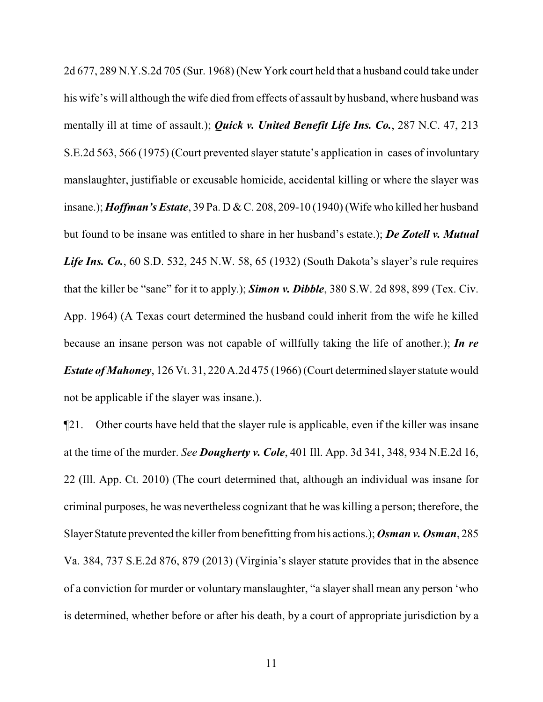2d 677, 289 N.Y.S.2d 705 (Sur. 1968) (New York court held that a husband could take under his wife's will although the wife died from effects of assault by husband, where husband was mentally ill at time of assault.); *Quick v. United Benefit Life Ins. Co.*, 287 N.C. 47, 213 S.E.2d 563, 566 (1975) (Court prevented slayer statute's application in cases of involuntary manslaughter, justifiable or excusable homicide, accidental killing or where the slayer was insane.); *Hoffman's Estate*, 39 Pa. D & C. 208, 209-10 (1940) (Wife who killed her husband but found to be insane was entitled to share in her husband's estate.); *De Zotell v. Mutual Life Ins. Co.*, 60 S.D. 532, 245 N.W. 58, 65 (1932) (South Dakota's slayer's rule requires that the killer be "sane" for it to apply.); *Simon v. Dibble*, 380 S.W. 2d 898, 899 (Tex. Civ. App. 1964) (A Texas court determined the husband could inherit from the wife he killed because an insane person was not capable of willfully taking the life of another.); *In re Estate of Mahoney*, 126 Vt. 31, 220 A.2d 475 (1966) (Court determined slayer statute would not be applicable if the slayer was insane.).

¶21. Other courts have held that the slayer rule is applicable, even if the killer was insane at the time of the murder. *See Dougherty v. Cole*, 401 Ill. App. 3d 341, 348, 934 N.E.2d 16, 22 (Ill. App. Ct. 2010) (The court determined that, although an individual was insane for criminal purposes, he was nevertheless cognizant that he was killing a person; therefore, the Slayer Statute prevented the killer frombenefitting fromhis actions.); *Osman v. Osman*, 285 Va. 384, 737 S.E.2d 876, 879 (2013) (Virginia's slayer statute provides that in the absence of a conviction for murder or voluntary manslaughter, "a slayer shall mean any person 'who is determined, whether before or after his death, by a court of appropriate jurisdiction by a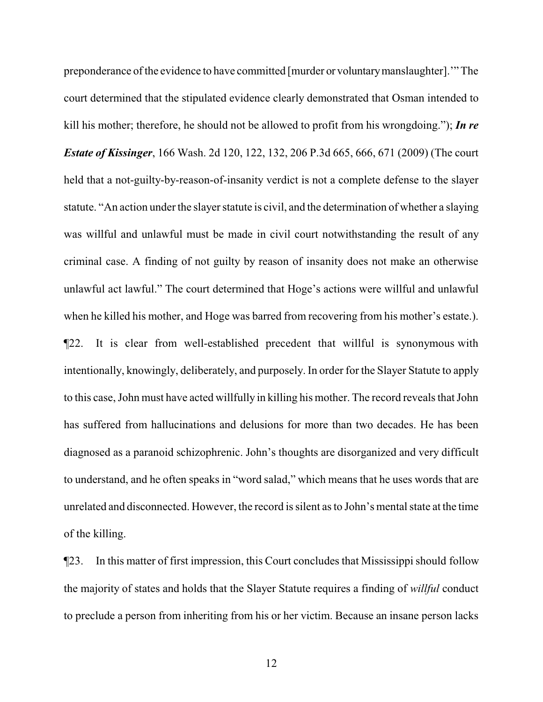preponderance ofthe evidence to have committed [murder or voluntarymanslaughter].'" The court determined that the stipulated evidence clearly demonstrated that Osman intended to kill his mother; therefore, he should not be allowed to profit from his wrongdoing."); *In re Estate of Kissinger*, 166 Wash. 2d 120, 122, 132, 206 P.3d 665, 666, 671 (2009) (The court held that a not-guilty-by-reason-of-insanity verdict is not a complete defense to the slayer statute. "An action under the slayer statute is civil, and the determination of whether a slaying was willful and unlawful must be made in civil court notwithstanding the result of any criminal case. A finding of not guilty by reason of insanity does not make an otherwise unlawful act lawful." The court determined that Hoge's actions were willful and unlawful when he killed his mother, and Hoge was barred from recovering from his mother's estate.). ¶22. It is clear from well-established precedent that willful is synonymous with intentionally, knowingly, deliberately, and purposely. In order for the Slayer Statute to apply to this case, John must have acted willfully in killing his mother. The record reveals that John has suffered from hallucinations and delusions for more than two decades. He has been diagnosed as a paranoid schizophrenic. John's thoughts are disorganized and very difficult to understand, and he often speaks in "word salad," which means that he uses words that are unrelated and disconnected. However, the record is silent as to John's mental state at the time of the killing.

¶23. In this matter of first impression, this Court concludes that Mississippi should follow the majority of states and holds that the Slayer Statute requires a finding of *willful* conduct to preclude a person from inheriting from his or her victim. Because an insane person lacks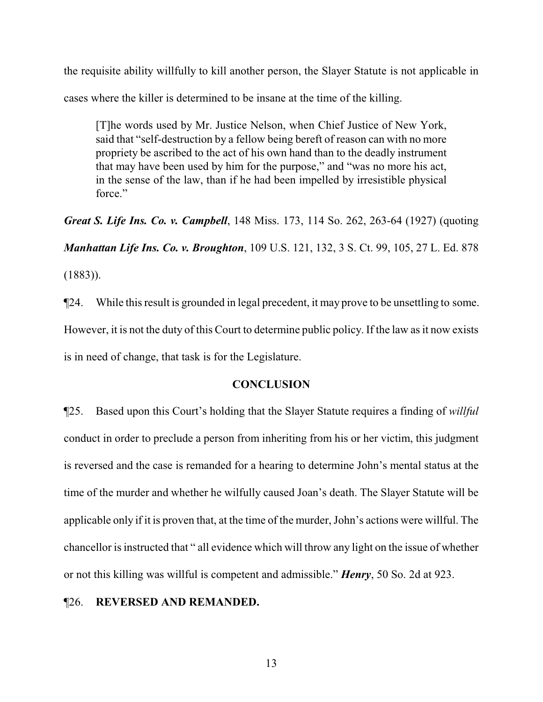the requisite ability willfully to kill another person, the Slayer Statute is not applicable in cases where the killer is determined to be insane at the time of the killing.

[T]he words used by Mr. Justice Nelson, when Chief Justice of New York, said that "self-destruction by a fellow being bereft of reason can with no more propriety be ascribed to the act of his own hand than to the deadly instrument that may have been used by him for the purpose," and "was no more his act, in the sense of the law, than if he had been impelled by irresistible physical force."

*Great S. Life Ins. Co. v. Campbell*, 148 Miss. 173, 114 So. 262, 263-64 (1927) (quoting *Manhattan Life Ins. Co. v. Broughton*, 109 U.S. 121, 132, 3 S. Ct. 99, 105, 27 L. Ed. 878 (1883)).

¶24. While this result is grounded in legal precedent, it may prove to be unsettling to some. However, it is not the duty of this Court to determine public policy. If the law as it now exists is in need of change, that task is for the Legislature.

## **CONCLUSION**

¶25. Based upon this Court's holding that the Slayer Statute requires a finding of *willful* conduct in order to preclude a person from inheriting from his or her victim, this judgment is reversed and the case is remanded for a hearing to determine John's mental status at the time of the murder and whether he wilfully caused Joan's death. The Slayer Statute will be applicable only if it is proven that, at the time of the murder, John's actions were willful. The chancellor is instructed that " all evidence which will throw any light on the issue of whether or not this killing was willful is competent and admissible." *Henry*, 50 So. 2d at 923.

## ¶26. **REVERSED AND REMANDED.**